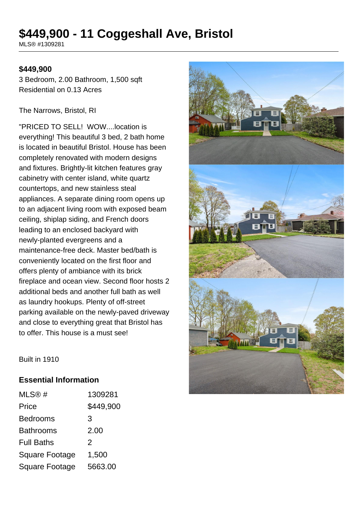# **\$449,900 - 11 Coggeshall Ave, Bristol**

MLS® #1309281

### **\$449,900**

3 Bedroom, 2.00 Bathroom, 1,500 sqft Residential on 0.13 Acres

#### The Narrows, Bristol, RI

"PRICED TO SELL! WOW....location is everything! This beautiful 3 bed, 2 bath home is located in beautiful Bristol. House has been completely renovated with modern designs and fixtures. Brightly-lit kitchen features gray cabinetry with center island, white quartz countertops, and new stainless steal appliances. A separate dining room opens up to an adjacent living room with exposed beam ceiling, shiplap siding, and French doors leading to an enclosed backyard with newly-planted evergreens and a maintenance-free deck. Master bed/bath is conveniently located on the first floor and offers plenty of ambiance with its brick fireplace and ocean view. Second floor hosts 2 additional beds and another full bath as well as laundry hookups. Plenty of off-street parking available on the newly-paved driveway and close to everything great that Bristol has to offer. This house is a must see!



Built in 1910

#### **Essential Information**

| MLS@#                 | 1309281       |
|-----------------------|---------------|
| Price                 | \$449,900     |
| <b>Bedrooms</b>       | 3             |
| <b>Bathrooms</b>      | 2.00          |
| <b>Full Baths</b>     | $\mathcal{P}$ |
| <b>Square Footage</b> | 1,500         |
| <b>Square Footage</b> | 5663.00       |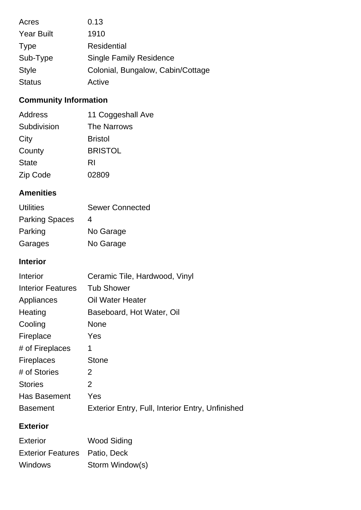| Acres             | 0.13                              |
|-------------------|-----------------------------------|
| <b>Year Built</b> | 1910                              |
| <b>Type</b>       | Residential                       |
| Sub-Type          | <b>Single Family Residence</b>    |
| <b>Style</b>      | Colonial, Bungalow, Cabin/Cottage |
| <b>Status</b>     | Active                            |

# **Community Information**

| Address      | 11 Coggeshall Ave  |
|--------------|--------------------|
| Subdivision  | <b>The Narrows</b> |
| City         | <b>Bristol</b>     |
| County       | <b>BRISTOL</b>     |
| <b>State</b> | RI                 |
| Zip Code     | 02809              |

# **Amenities**

| <b>Utilities</b>      | <b>Sewer Connected</b> |
|-----------------------|------------------------|
| <b>Parking Spaces</b> | 4                      |
| Parking               | No Garage              |
| Garages               | No Garage              |

## **Interior**

| Interior                 | Ceramic Tile, Hardwood, Vinyl                    |
|--------------------------|--------------------------------------------------|
| <b>Interior Features</b> | <b>Tub Shower</b>                                |
| Appliances               | <b>Oil Water Heater</b>                          |
| Heating                  | Baseboard, Hot Water, Oil                        |
| Cooling                  | <b>None</b>                                      |
| Fireplace                | Yes                                              |
| # of Fireplaces          | 1                                                |
| <b>Fireplaces</b>        | <b>Stone</b>                                     |
| # of Stories             | $\overline{2}$                                   |
| <b>Stories</b>           | 2                                                |
| Has Basement             | Yes                                              |
| <b>Basement</b>          | Exterior Entry, Full, Interior Entry, Unfinished |

# **Exterior**

| Exterior                             | <b>Wood Siding</b> |
|--------------------------------------|--------------------|
| <b>Exterior Features</b> Patio, Deck |                    |
| <b>Windows</b>                       | Storm Window(s)    |